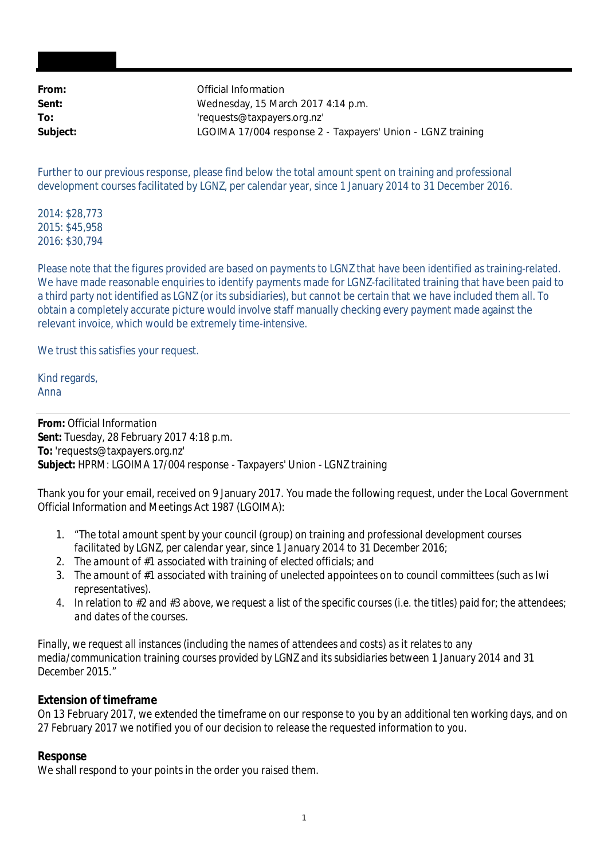| Official Information                                        |
|-------------------------------------------------------------|
| Wednesday, 15 March 2017 4:14 p.m.                          |
| 'requests@taxpayers.org.nz'                                 |
| LGOIMA 17/004 response 2 - Taxpayers' Union - LGNZ training |
|                                                             |

Further to our previous response, please find below the total amount spent on training and professional development courses facilitated by LGNZ, per calendar year, since 1 January 2014 to 31 December 2016.

2014: \$28,773 2015: \$45,958 2016: \$30,794

Please note that the figures provided are based on payments to LGNZ that have been identified as training-related. We have made reasonable enquiries to identify payments made for LGNZ-facilitated training that have been paid to a third party not identified as LGNZ (or its subsidiaries), but cannot be certain that we have included them all. To obtain a completely accurate picture would involve staff manually checking every payment made against the relevant invoice, which would be extremely time-intensive.

We trust this satisfies your request.

Kind regards, Anna

**From:** Official Information **Sent:** Tuesday, 28 February 2017 4:18 p.m. **To:** 'requests@taxpayers.org.nz' **Subject:** HPRM: LGOIMA 17/004 response - Taxpayers' Union - LGNZ training

Thank you for your email, received on 9 January 2017. You made the following request, under the Local Government Official Information and Meetings Act 1987 (LGOIMA):

- *1.* "*The total amount spent by your council (group) on training and professional development courses facilitated by LGNZ, per calendar year, since 1 January 2014 to 31 December 2016;*
- *2. The amount of #1 associated with training of elected officials; and*
- *3. The amount of #1 associated with training of unelected appointees on to council committees (such as Iwi representatives).*
- *4. In relation to #2 and #3 above, we request a list of the specific courses (i.e. the titles) paid for; the attendees; and dates of the courses.*

*Finally, we request all instances (including the names of attendees and costs) as it relates to any media/communication training courses provided by LGNZ and its subsidiaries between 1 January 2014 and 31 December 2015.*"

## **Extension of timeframe**

On 13 February 2017, we extended the timeframe on our response to you by an additional ten working days, and on 27 February 2017 we notified you of our decision to release the requested information to you.

## **Response**

We shall respond to your points in the order you raised them.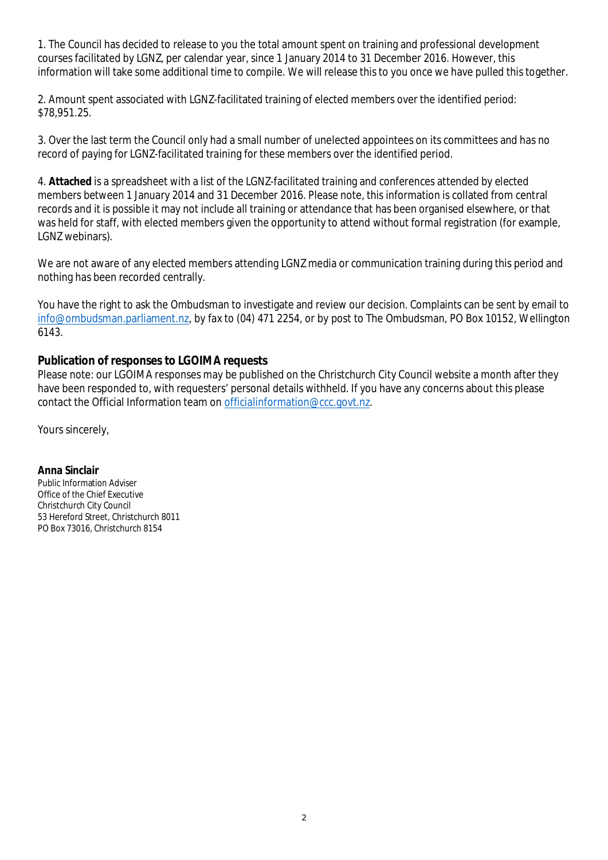1. The Council has decided to release to you the total amount spent on training and professional development courses facilitated by LGNZ, per calendar year, since 1 January 2014 to 31 December 2016. However, this information will take some additional time to compile. We will release this to you once we have pulled this together.

2. Amount spent associated with LGNZ-facilitated training of elected members over the identified period: \$78,951.25.

3. Over the last term the Council only had a small number of unelected appointees on its committees and has no record of paying for LGNZ-facilitated training for these members over the identified period.

4. **Attached** is a spreadsheet with a list of the LGNZ-facilitated training and conferences attended by elected members between 1 January 2014 and 31 December 2016. Please note, this information is collated from central records and it is possible it may not include all training or attendance that has been organised elsewhere, or that was held for staff, with elected members given the opportunity to attend without formal registration (for example, LGNZ webinars).

We are not aware of any elected members attending LGNZ media or communication training during this period and nothing has been recorded centrally.

You have the right to ask the Ombudsman to investigate and review our decision. Complaints can be sent by email to info@ombudsman.parliament.nz, by fax to (04) 471 2254, or by post to The Ombudsman, PO Box 10152, Wellington 6143.

## **Publication of responses to LGOIMA requests**

Please note: our LGOIMA responses may be published on the Christchurch City Council website a month after they have been responded to, with requesters' personal details withheld. If you have any concerns about this please contact the Official Information team on officialinformation@ccc.govt.nz.

Yours sincerely,

**Anna Sinclair** Public Information Adviser Office of the Chief Executive Christchurch City Council 53 Hereford Street, Christchurch 8011 PO Box 73016, Christchurch 8154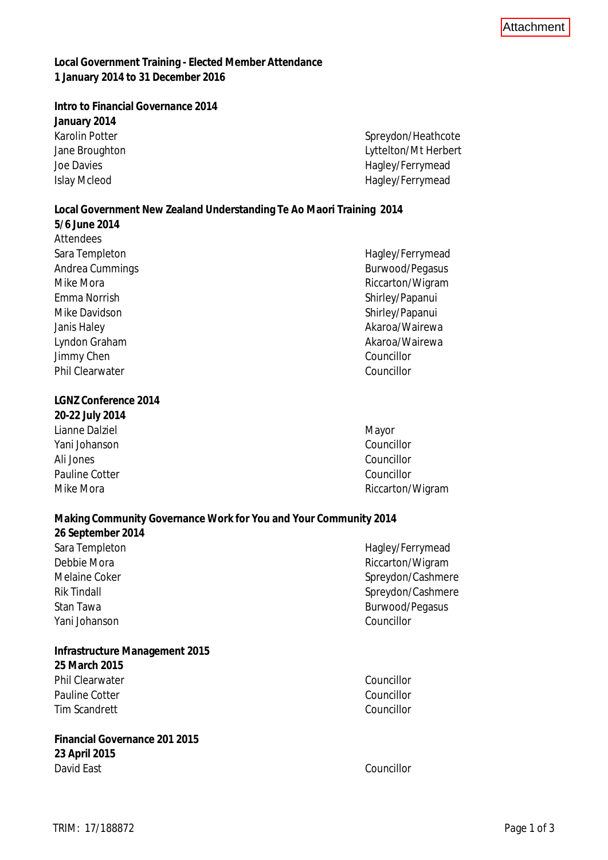**Local Government Training - Elected Member Attendance 1 January 2014 to 31 December 2016**

**Intro to Financial Governance 2014 January 2014** Karolin Potter Spreydon/Heathcote Jane Broughton Lyttelton/Mt Herbert Joe Davies **Hagley/Ferrymead** Islay Mcleod **Hagley/Ferrymead** 

**Local Government New Zealand Understanding Te Ao Maori Training 2014 5/6 June 2014** Attendees Sara Templeton **Hagley/Ferrymead** Andrea Cummings and a state of the state of the Burwood/Pegasus and the Burwood/Pegasus Mike Mora **Mike Mora** Riccarton/Wigram Emma Norrish Shirley/Papanui Mike Davidson Shirley/Papanui Janis Haley **Akaroa/Wairewa** Akaroa/Wairewa Lyndon Graham Akaroa/Wairewa Jimmy Chen Councillor Phil Clearwater Councillor

**LGNZ Conference 2014 20-22 July 2014** Lianne Dalziel Mayor Yani Johanson Councillor Ali Jones Councillor Pauline Cotter Councillor Mike Mora **Mike Mora** Riccarton/Wigram

**Making Community Governance Work for You and Your Community 2014 26 September 2014** Sara Templeton **Hagley/Ferrymead** Debbie Mora **Riccarton/Wigram** Riccarton/Wigram Melaine Coker Spreydon/Cashmere Rik Tindall Spreydon/Cashmere Stan Tawa Burwood/Pegasus Yani Johanson Councillor

**Infrastructure Management 2015 25 March 2015** Phil Clearwater Councillor Pauline Cotter Councillor Tim Scandrett Councillor

**Financial Governance 201 2015 23 April 2015** David East Councillor

**Attachment**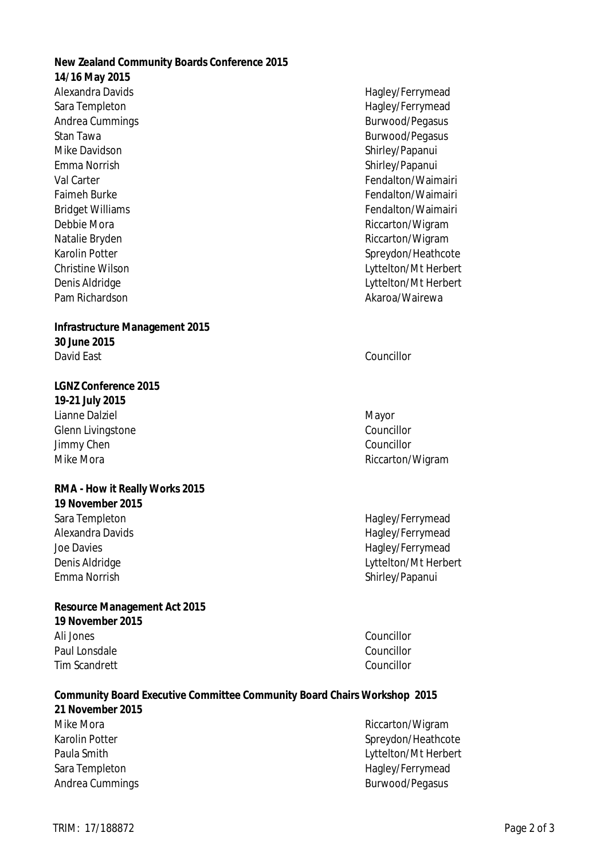**New Zealand Community Boards Conference 2015 14/16 May 2015** Alexandra Davids **Alexandra Davids Hagley/Ferrymead** Sara Templeton **Hagley/Ferrymead** Andrea Cummings and a state of the Burwood/Pegasus Burwood/Pegasus Stan Tawa Burwood/Pegasus Mike Davidson Shirley/Papanui Emma Norrish Shirley/Papanui Val Carter Fendalton/Waimairi Faimeh Burke Fendalton/Waimairi Bridget Williams Fendalton/Waimairi Debbie Mora **Riccarton/Wigram** Riccarton/Wigram Natalie Bryden **Natalie Bryden** Riccarton/Wigram Karolin Potter Spreydon/Heathcote Christine Wilson Lyttelton/Mt Herbert Denis Aldridge Lyttelton/Mt Herbert Pam Richardson Akaroa/Wairewa **Infrastructure Management 2015 30 June 2015** David East Councillor **LGNZ Conference 2015 19-21 July 2015** Lianne Dalziel Mayor Glenn Livingstone Councillor Jimmy Chen Councillor Mike Mora **Mike Mora** Riccarton/Wigram **RMA - How it Really Works 2015 19 November 2015** Sara Templeton **Hagley/Ferrymead** Alexandra Davids **Alexandra Davids Hagley/Ferrymead** Joe Davies **Hagley/Ferrymead** Denis Aldridge **Lyttelton/Mt Herbert** Emma Norrish Shirley/Papanui **Resource Management Act 2015 19 November 2015** Ali Jones Councillor Paul Lonsdale Councillor Tim Scandrett Councillor **Community Board Executive Committee Community Board Chairs Workshop 2015 21 November 2015** Mike Mora **Mike Mora** Riccarton/Wigram Karolin Potter Spreydon/Heathcote

Paula Smith Lyttelton/Mt Herbert Sara Templeton **Hagley/Ferrymead** Andrea Cummings and a state of the Burwood/Pegasus Burwood/Pegasus